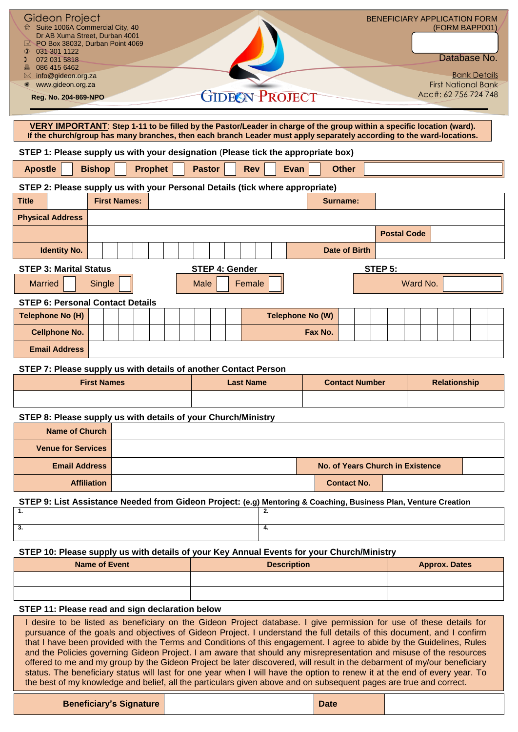| Gideon Project<br>☆ Suite 1006A Commercial City, 40<br>Dr AB Xuma Street. Durban 4001<br>PO Box 38032, Durban Point 4069<br>031 301 1122<br>$\Omega$<br>072 031 5818<br>086 415 6462<br>info@gideon.org.za<br>www.gideon.org.za                                                                                                                                                                                                                                                                                                                                                                                                                                                                                                                         |                      |                     |                |                       |  |                       |      |                         |                    |                       |         | <b>BENEFICIARY APPLICATION FORM</b>     |          | (FORM BAPP001)<br>Database No.<br><b>Bank Details</b><br><b>First National Bank</b> |  |
|---------------------------------------------------------------------------------------------------------------------------------------------------------------------------------------------------------------------------------------------------------------------------------------------------------------------------------------------------------------------------------------------------------------------------------------------------------------------------------------------------------------------------------------------------------------------------------------------------------------------------------------------------------------------------------------------------------------------------------------------------------|----------------------|---------------------|----------------|-----------------------|--|-----------------------|------|-------------------------|--------------------|-----------------------|---------|-----------------------------------------|----------|-------------------------------------------------------------------------------------|--|
| Reg. No. 204-869-NPO                                                                                                                                                                                                                                                                                                                                                                                                                                                                                                                                                                                                                                                                                                                                    |                      |                     |                |                       |  | <b>GIDEON PROJECT</b> |      |                         |                    |                       |         |                                         |          | Acc#: 62 756 724 748                                                                |  |
| VERY IMPORTANT: Step 1-11 to be filled by the Pastor/Leader in charge of the group within a specific location (ward).<br>If the church/group has many branches, then each branch Leader must apply separately according to the ward-locations.                                                                                                                                                                                                                                                                                                                                                                                                                                                                                                          |                      |                     |                |                       |  |                       |      |                         |                    |                       |         |                                         |          |                                                                                     |  |
| STEP 1: Please supply us with your designation (Please tick the appropriate box)                                                                                                                                                                                                                                                                                                                                                                                                                                                                                                                                                                                                                                                                        |                      |                     |                |                       |  |                       |      |                         |                    |                       |         |                                         |          |                                                                                     |  |
| <b>Apostle</b>                                                                                                                                                                                                                                                                                                                                                                                                                                                                                                                                                                                                                                                                                                                                          | <b>Bishop</b>        |                     | <b>Prophet</b> | <b>Pastor</b>         |  | <b>Rev</b>            | Evan |                         | <b>Other</b>       |                       |         |                                         |          |                                                                                     |  |
| STEP 2: Please supply us with your Personal Details (tick where appropriate)                                                                                                                                                                                                                                                                                                                                                                                                                                                                                                                                                                                                                                                                            |                      |                     |                |                       |  |                       |      |                         |                    |                       |         |                                         |          |                                                                                     |  |
| <b>Title</b>                                                                                                                                                                                                                                                                                                                                                                                                                                                                                                                                                                                                                                                                                                                                            |                      | <b>First Names:</b> |                |                       |  |                       |      |                         | <b>Surname:</b>    |                       |         |                                         |          |                                                                                     |  |
| <b>Physical Address</b>                                                                                                                                                                                                                                                                                                                                                                                                                                                                                                                                                                                                                                                                                                                                 |                      |                     |                |                       |  |                       |      |                         |                    |                       |         |                                         |          |                                                                                     |  |
|                                                                                                                                                                                                                                                                                                                                                                                                                                                                                                                                                                                                                                                                                                                                                         |                      |                     |                |                       |  |                       |      |                         |                    |                       |         | <b>Postal Code</b>                      |          |                                                                                     |  |
| <b>Identity No.</b>                                                                                                                                                                                                                                                                                                                                                                                                                                                                                                                                                                                                                                                                                                                                     |                      |                     |                |                       |  |                       |      |                         | Date of Birth      |                       |         |                                         |          |                                                                                     |  |
| <b>STEP 3: Marital Status</b>                                                                                                                                                                                                                                                                                                                                                                                                                                                                                                                                                                                                                                                                                                                           |                      |                     |                | <b>STEP 4: Gender</b> |  |                       |      |                         |                    |                       | STEP 5: |                                         |          |                                                                                     |  |
| <b>Married</b>                                                                                                                                                                                                                                                                                                                                                                                                                                                                                                                                                                                                                                                                                                                                          | Single               |                     |                | <b>Male</b>           |  | Female                |      |                         |                    |                       |         |                                         | Ward No. |                                                                                     |  |
| <b>STEP 6: Personal Contact Details</b>                                                                                                                                                                                                                                                                                                                                                                                                                                                                                                                                                                                                                                                                                                                 |                      |                     |                |                       |  |                       |      |                         |                    |                       |         |                                         |          |                                                                                     |  |
| Telephone No (H)                                                                                                                                                                                                                                                                                                                                                                                                                                                                                                                                                                                                                                                                                                                                        |                      |                     |                |                       |  |                       |      | <b>Telephone No (W)</b> |                    |                       |         |                                         |          |                                                                                     |  |
| <b>Cellphone No.</b>                                                                                                                                                                                                                                                                                                                                                                                                                                                                                                                                                                                                                                                                                                                                    |                      |                     |                |                       |  |                       |      | Fax No.                 |                    |                       |         |                                         |          |                                                                                     |  |
| <b>Email Address</b>                                                                                                                                                                                                                                                                                                                                                                                                                                                                                                                                                                                                                                                                                                                                    |                      |                     |                |                       |  |                       |      |                         |                    |                       |         |                                         |          |                                                                                     |  |
| STEP 7: Please supply us with details of another Contact Person                                                                                                                                                                                                                                                                                                                                                                                                                                                                                                                                                                                                                                                                                         |                      |                     |                |                       |  |                       |      |                         |                    |                       |         |                                         |          |                                                                                     |  |
|                                                                                                                                                                                                                                                                                                                                                                                                                                                                                                                                                                                                                                                                                                                                                         | <b>First Names</b>   |                     |                |                       |  | <b>Last Name</b>      |      |                         |                    | <b>Contact Number</b> |         |                                         |          | <b>Relationship</b>                                                                 |  |
|                                                                                                                                                                                                                                                                                                                                                                                                                                                                                                                                                                                                                                                                                                                                                         |                      |                     |                |                       |  |                       |      |                         |                    |                       |         |                                         |          |                                                                                     |  |
| STEP 8: Please supply us with details of your Church/Ministry                                                                                                                                                                                                                                                                                                                                                                                                                                                                                                                                                                                                                                                                                           |                      |                     |                |                       |  |                       |      |                         |                    |                       |         |                                         |          |                                                                                     |  |
| <b>Name of Church</b>                                                                                                                                                                                                                                                                                                                                                                                                                                                                                                                                                                                                                                                                                                                                   |                      |                     |                |                       |  |                       |      |                         |                    |                       |         |                                         |          |                                                                                     |  |
| <b>Venue for Services</b>                                                                                                                                                                                                                                                                                                                                                                                                                                                                                                                                                                                                                                                                                                                               |                      |                     |                |                       |  |                       |      |                         |                    |                       |         |                                         |          |                                                                                     |  |
| <b>Email Address</b>                                                                                                                                                                                                                                                                                                                                                                                                                                                                                                                                                                                                                                                                                                                                    |                      |                     |                |                       |  |                       |      |                         |                    |                       |         | <b>No. of Years Church in Existence</b> |          |                                                                                     |  |
|                                                                                                                                                                                                                                                                                                                                                                                                                                                                                                                                                                                                                                                                                                                                                         | <b>Affiliation</b>   |                     |                |                       |  |                       |      |                         | <b>Contact No.</b> |                       |         |                                         |          |                                                                                     |  |
| STEP 9: List Assistance Needed from Gideon Project: (e.g) Mentoring & Coaching, Business Plan, Venture Creation                                                                                                                                                                                                                                                                                                                                                                                                                                                                                                                                                                                                                                         |                      |                     |                |                       |  |                       |      |                         |                    |                       |         |                                         |          |                                                                                     |  |
| 1.                                                                                                                                                                                                                                                                                                                                                                                                                                                                                                                                                                                                                                                                                                                                                      |                      |                     |                |                       |  | 2.                    |      |                         |                    |                       |         |                                         |          |                                                                                     |  |
| 3.                                                                                                                                                                                                                                                                                                                                                                                                                                                                                                                                                                                                                                                                                                                                                      |                      |                     |                |                       |  | 4.                    |      |                         |                    |                       |         |                                         |          |                                                                                     |  |
| STEP 10: Please supply us with details of your Key Annual Events for your Church/Ministry                                                                                                                                                                                                                                                                                                                                                                                                                                                                                                                                                                                                                                                               |                      |                     |                |                       |  |                       |      |                         |                    |                       |         |                                         |          |                                                                                     |  |
|                                                                                                                                                                                                                                                                                                                                                                                                                                                                                                                                                                                                                                                                                                                                                         | <b>Name of Event</b> |                     |                |                       |  | <b>Description</b>    |      |                         |                    |                       |         |                                         |          | <b>Approx. Dates</b>                                                                |  |
|                                                                                                                                                                                                                                                                                                                                                                                                                                                                                                                                                                                                                                                                                                                                                         |                      |                     |                |                       |  |                       |      |                         |                    |                       |         |                                         |          |                                                                                     |  |
|                                                                                                                                                                                                                                                                                                                                                                                                                                                                                                                                                                                                                                                                                                                                                         |                      |                     |                |                       |  |                       |      |                         |                    |                       |         |                                         |          |                                                                                     |  |
| STEP 11: Please read and sign declaration below                                                                                                                                                                                                                                                                                                                                                                                                                                                                                                                                                                                                                                                                                                         |                      |                     |                |                       |  |                       |      |                         |                    |                       |         |                                         |          |                                                                                     |  |
| I desire to be listed as beneficiary on the Gideon Project database. I give permission for use of these details for<br>pursuance of the goals and objectives of Gideon Project. I understand the full details of this document, and I confirm<br>that I have been provided with the Terms and Conditions of this engagement. I agree to abide by the Guidelines, Rules<br>and the Policies governing Gideon Project. I am aware that should any misrepresentation and misuse of the resources<br>offered to me and my group by the Gideon Project be later discovered, will result in the debarment of my/our beneficiary<br>status. The beneficiary status will last for one year when I will have the option to renew it at the end of every year. To |                      |                     |                |                       |  |                       |      |                         |                    |                       |         |                                         |          |                                                                                     |  |

| <b>Beneficiary's Signature</b> | Date |  |
|--------------------------------|------|--|

the best of my knowledge and belief, all the particulars given above and on subsequent pages are true and correct.